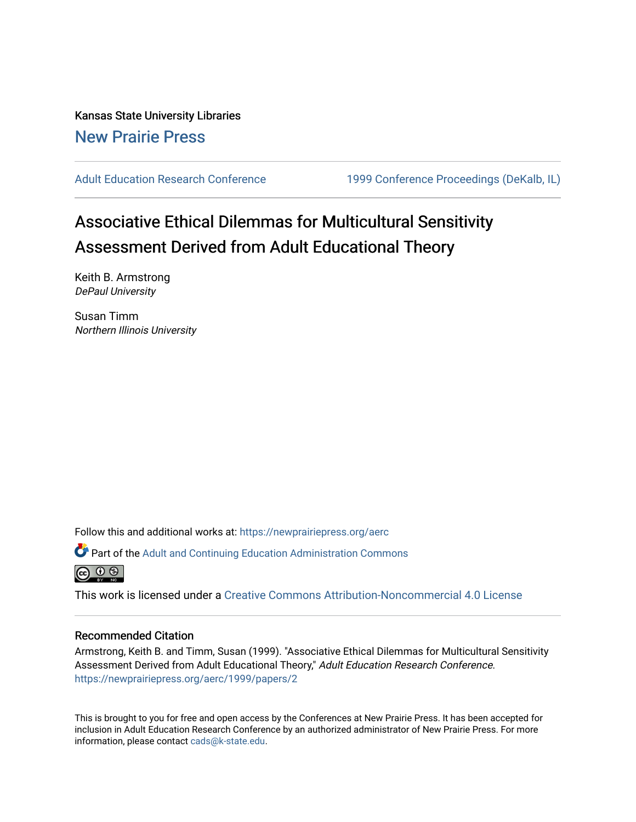Kansas State University Libraries [New Prairie Press](https://newprairiepress.org/) 

[Adult Education Research Conference](https://newprairiepress.org/aerc) [1999 Conference Proceedings \(DeKalb, IL\)](https://newprairiepress.org/aerc/1999) 

# Associative Ethical Dilemmas for Multicultural Sensitivity Assessment Derived from Adult Educational Theory

Keith B. Armstrong DePaul University

Susan Timm Northern Illinois University

Follow this and additional works at: [https://newprairiepress.org/aerc](https://newprairiepress.org/aerc?utm_source=newprairiepress.org%2Faerc%2F1999%2Fpapers%2F2&utm_medium=PDF&utm_campaign=PDFCoverPages)

Part of the [Adult and Continuing Education Administration Commons](http://network.bepress.com/hgg/discipline/789?utm_source=newprairiepress.org%2Faerc%2F1999%2Fpapers%2F2&utm_medium=PDF&utm_campaign=PDFCoverPages)



This work is licensed under a [Creative Commons Attribution-Noncommercial 4.0 License](https://creativecommons.org/licenses/by-nc/4.0/)

#### Recommended Citation

Armstrong, Keith B. and Timm, Susan (1999). "Associative Ethical Dilemmas for Multicultural Sensitivity Assessment Derived from Adult Educational Theory," Adult Education Research Conference. <https://newprairiepress.org/aerc/1999/papers/2>

This is brought to you for free and open access by the Conferences at New Prairie Press. It has been accepted for inclusion in Adult Education Research Conference by an authorized administrator of New Prairie Press. For more information, please contact [cads@k-state.edu](mailto:cads@k-state.edu).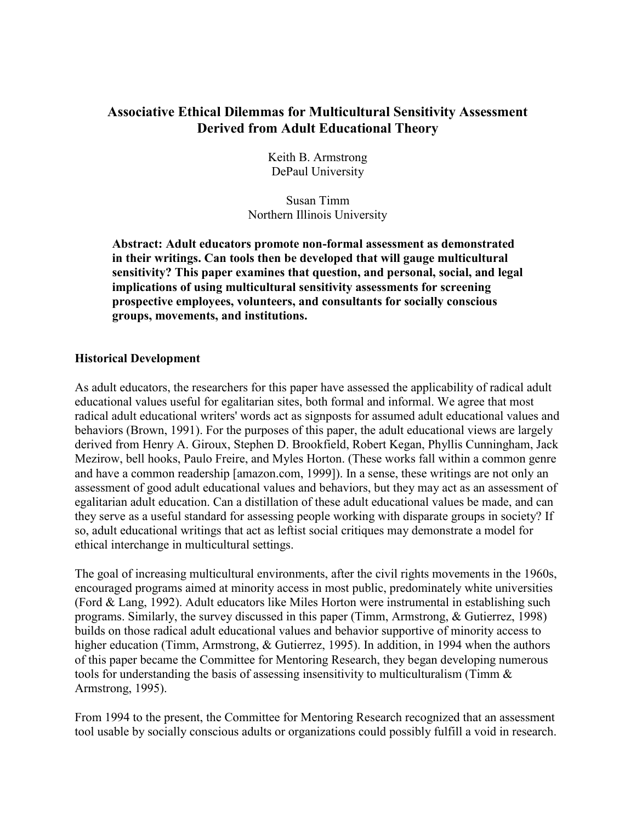# **Associative Ethical Dilemmas for Multicultural Sensitivity Assessment Derived from Adult Educational Theory**

Keith B. Armstrong DePaul University

Susan Timm Northern Illinois University

**Abstract: Adult educators promote non-formal assessment as demonstrated in their writings. Can tools then be developed that will gauge multicultural sensitivity? This paper examines that question, and personal, social, and legal implications of using multicultural sensitivity assessments for screening prospective employees, volunteers, and consultants for socially conscious groups, movements, and institutions.** 

## **Historical Development**

As adult educators, the researchers for this paper have assessed the applicability of radical adult educational values useful for egalitarian sites, both formal and informal. We agree that most radical adult educational writers' words act as signposts for assumed adult educational values and behaviors (Brown, 1991). For the purposes of this paper, the adult educational views are largely derived from Henry A. Giroux, Stephen D. Brookfield, Robert Kegan, Phyllis Cunningham, Jack Mezirow, bell hooks, Paulo Freire, and Myles Horton. (These works fall within a common genre and have a common readership [amazon.com, 1999]). In a sense, these writings are not only an assessment of good adult educational values and behaviors, but they may act as an assessment of egalitarian adult education. Can a distillation of these adult educational values be made, and can they serve as a useful standard for assessing people working with disparate groups in society? If so, adult educational writings that act as leftist social critiques may demonstrate a model for ethical interchange in multicultural settings.

The goal of increasing multicultural environments, after the civil rights movements in the 1960s, encouraged programs aimed at minority access in most public, predominately white universities (Ford & Lang, 1992). Adult educators like Miles Horton were instrumental in establishing such programs. Similarly, the survey discussed in this paper (Timm, Armstrong, & Gutierrez, 1998) builds on those radical adult educational values and behavior supportive of minority access to higher education (Timm, Armstrong, & Gutierrez, 1995). In addition, in 1994 when the authors of this paper became the Committee for Mentoring Research, they began developing numerous tools for understanding the basis of assessing insensitivity to multiculturalism (Timm & Armstrong, 1995).

From 1994 to the present, the Committee for Mentoring Research recognized that an assessment tool usable by socially conscious adults or organizations could possibly fulfill a void in research.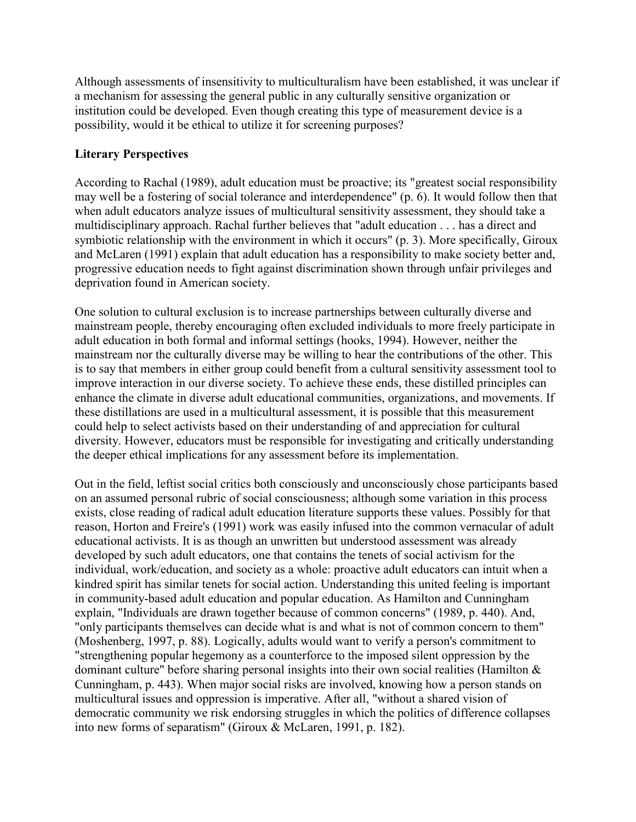Although assessments of insensitivity to multiculturalism have been established, it was unclear if a mechanism for assessing the general public in any culturally sensitive organization or institution could be developed. Even though creating this type of measurement device is a possibility, would it be ethical to utilize it for screening purposes?

# **Literary Perspectives**

According to Rachal (1989), adult education must be proactive; its "greatest social responsibility may well be a fostering of social tolerance and interdependence" (p. 6). It would follow then that when adult educators analyze issues of multicultural sensitivity assessment, they should take a multidisciplinary approach. Rachal further believes that "adult education . . . has a direct and symbiotic relationship with the environment in which it occurs" (p. 3). More specifically, Giroux and McLaren (1991) explain that adult education has a responsibility to make society better and, progressive education needs to fight against discrimination shown through unfair privileges and deprivation found in American society.

One solution to cultural exclusion is to increase partnerships between culturally diverse and mainstream people, thereby encouraging often excluded individuals to more freely participate in adult education in both formal and informal settings (hooks, 1994). However, neither the mainstream nor the culturally diverse may be willing to hear the contributions of the other. This is to say that members in either group could benefit from a cultural sensitivity assessment tool to improve interaction in our diverse society. To achieve these ends, these distilled principles can enhance the climate in diverse adult educational communities, organizations, and movements. If these distillations are used in a multicultural assessment, it is possible that this measurement could help to select activists based on their understanding of and appreciation for cultural diversity. However, educators must be responsible for investigating and critically understanding the deeper ethical implications for any assessment before its implementation.

Out in the field, leftist social critics both consciously and unconsciously chose participants based on an assumed personal rubric of social consciousness; although some variation in this process exists, close reading of radical adult education literature supports these values. Possibly for that reason, Horton and Freire's (1991) work was easily infused into the common vernacular of adult educational activists. It is as though an unwritten but understood assessment was already developed by such adult educators, one that contains the tenets of social activism for the individual, work/education, and society as a whole: proactive adult educators can intuit when a kindred spirit has similar tenets for social action. Understanding this united feeling is important in community-based adult education and popular education. As Hamilton and Cunningham explain, "Individuals are drawn together because of common concerns" (1989, p. 440). And, "only participants themselves can decide what is and what is not of common concern to them" (Moshenberg, 1997, p. 88). Logically, adults would want to verify a person's commitment to "strengthening popular hegemony as a counterforce to the imposed silent oppression by the dominant culture" before sharing personal insights into their own social realities (Hamilton & Cunningham, p. 443). When major social risks are involved, knowing how a person stands on multicultural issues and oppression is imperative. After all, "without a shared vision of democratic community we risk endorsing struggles in which the politics of difference collapses into new forms of separatism" (Giroux & McLaren, 1991, p. 182).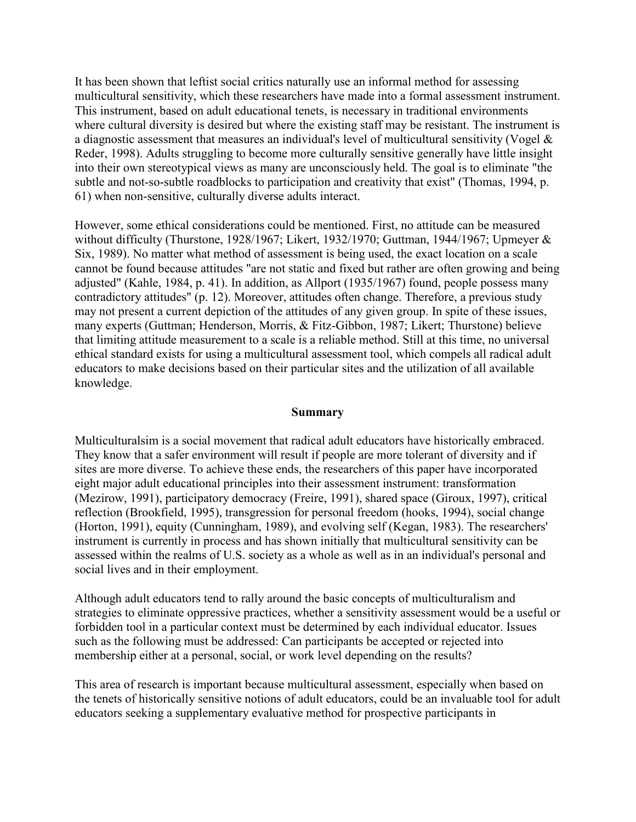It has been shown that leftist social critics naturally use an informal method for assessing multicultural sensitivity, which these researchers have made into a formal assessment instrument. This instrument, based on adult educational tenets, is necessary in traditional environments where cultural diversity is desired but where the existing staff may be resistant. The instrument is a diagnostic assessment that measures an individual's level of multicultural sensitivity (Vogel & Reder, 1998). Adults struggling to become more culturally sensitive generally have little insight into their own stereotypical views as many are unconsciously held. The goal is to eliminate "the subtle and not-so-subtle roadblocks to participation and creativity that exist" (Thomas, 1994, p. 61) when non-sensitive, culturally diverse adults interact.

However, some ethical considerations could be mentioned. First, no attitude can be measured without difficulty (Thurstone, 1928/1967; Likert, 1932/1970; Guttman, 1944/1967; Upmeyer & Six, 1989). No matter what method of assessment is being used, the exact location on a scale cannot be found because attitudes "are not static and fixed but rather are often growing and being adjusted" (Kahle, 1984, p. 41). In addition, as Allport (1935/1967) found, people possess many contradictory attitudes" (p. 12). Moreover, attitudes often change. Therefore, a previous study may not present a current depiction of the attitudes of any given group. In spite of these issues, many experts (Guttman; Henderson, Morris, & Fitz-Gibbon, 1987; Likert; Thurstone) believe that limiting attitude measurement to a scale is a reliable method. Still at this time, no universal ethical standard exists for using a multicultural assessment tool, which compels all radical adult educators to make decisions based on their particular sites and the utilization of all available knowledge.

### **Summary**

Multiculturalsim is a social movement that radical adult educators have historically embraced. They know that a safer environment will result if people are more tolerant of diversity and if sites are more diverse. To achieve these ends, the researchers of this paper have incorporated eight major adult educational principles into their assessment instrument: transformation (Mezirow, 1991), participatory democracy (Freire, 1991), shared space (Giroux, 1997), critical reflection (Brookfield, 1995), transgression for personal freedom (hooks, 1994), social change (Horton, 1991), equity (Cunningham, 1989), and evolving self (Kegan, 1983). The researchers' instrument is currently in process and has shown initially that multicultural sensitivity can be assessed within the realms of U.S. society as a whole as well as in an individual's personal and social lives and in their employment.

Although adult educators tend to rally around the basic concepts of multiculturalism and strategies to eliminate oppressive practices, whether a sensitivity assessment would be a useful or forbidden tool in a particular context must be determined by each individual educator. Issues such as the following must be addressed: Can participants be accepted or rejected into membership either at a personal, social, or work level depending on the results?

This area of research is important because multicultural assessment, especially when based on the tenets of historically sensitive notions of adult educators, could be an invaluable tool for adult educators seeking a supplementary evaluative method for prospective participants in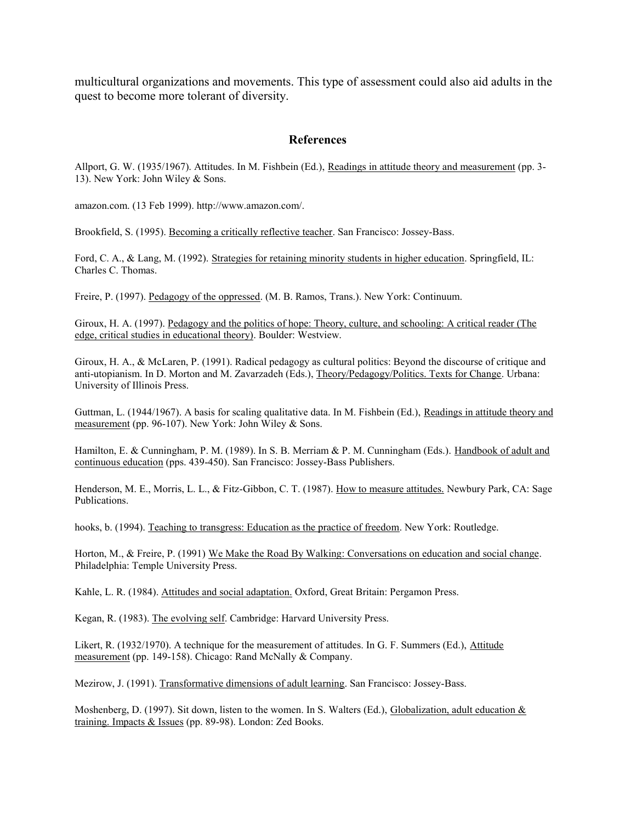multicultural organizations and movements. This type of assessment could also aid adults in the quest to become more tolerant of diversity.

## **References**

Allport, G. W. (1935/1967). Attitudes. In M. Fishbein (Ed.), Readings in attitude theory and measurement (pp. 3- 13). New York: John Wiley & Sons.

amazon.com. (13 Feb 1999). http://www.amazon.com/.

Brookfield, S. (1995). Becoming a critically reflective teacher. San Francisco: Jossey-Bass.

Ford, C. A., & Lang, M. (1992). Strategies for retaining minority students in higher education. Springfield, IL: Charles C. Thomas.

Freire, P. (1997). Pedagogy of the oppressed. (M. B. Ramos, Trans.). New York: Continuum.

Giroux, H. A. (1997). Pedagogy and the politics of hope: Theory, culture, and schooling: A critical reader (The edge, critical studies in educational theory). Boulder: Westview.

Giroux, H. A., & McLaren, P. (1991). Radical pedagogy as cultural politics: Beyond the discourse of critique and anti-utopianism. In D. Morton and M. Zavarzadeh (Eds.), Theory/Pedagogy/Politics. Texts for Change. Urbana: University of Illinois Press.

Guttman, L. (1944/1967). A basis for scaling qualitative data. In M. Fishbein (Ed.), Readings in attitude theory and measurement (pp. 96-107). New York: John Wiley & Sons.

Hamilton, E. & Cunningham, P. M. (1989). In S. B. Merriam & P. M. Cunningham (Eds.). Handbook of adult and continuous education (pps. 439-450). San Francisco: Jossey-Bass Publishers.

Henderson, M. E., Morris, L. L., & Fitz-Gibbon, C. T. (1987). How to measure attitudes. Newbury Park, CA: Sage Publications.

hooks, b. (1994). Teaching to transgress: Education as the practice of freedom. New York: Routledge.

Horton, M., & Freire, P. (1991) We Make the Road By Walking: Conversations on education and social change. Philadelphia: Temple University Press.

Kahle, L. R. (1984). Attitudes and social adaptation. Oxford, Great Britain: Pergamon Press.

Kegan, R. (1983). The evolving self. Cambridge: Harvard University Press.

Likert, R. (1932/1970). A technique for the measurement of attitudes. In G. F. Summers (Ed.), Attitude measurement (pp. 149-158). Chicago: Rand McNally & Company.

Mezirow, J. (1991). Transformative dimensions of adult learning. San Francisco: Jossey-Bass.

Moshenberg, D. (1997). Sit down, listen to the women. In S. Walters (Ed.), Globalization, adult education & training. Impacts & Issues (pp. 89-98). London: Zed Books.